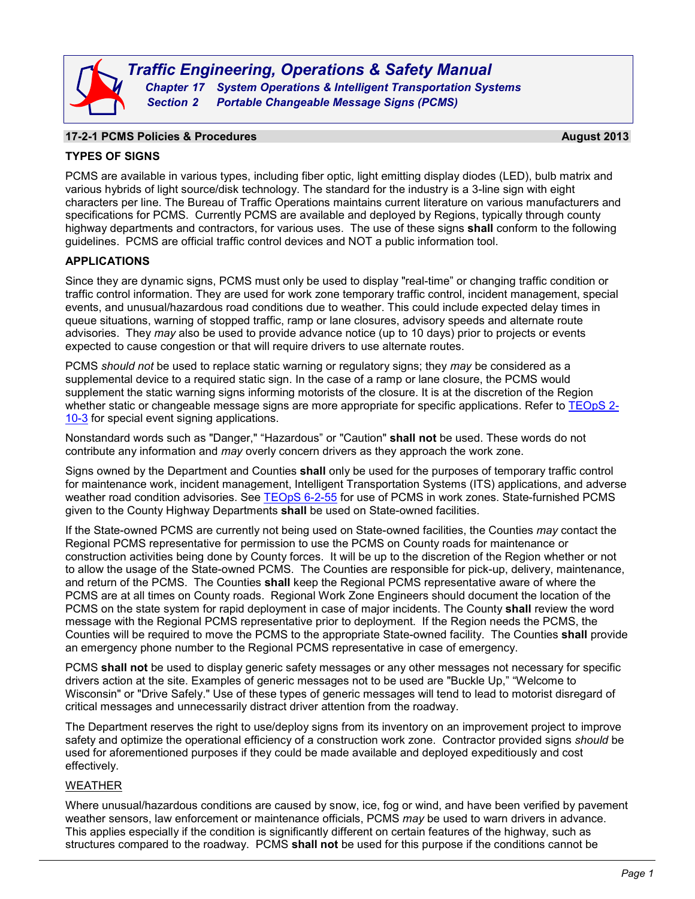

### **17-2-1 PCMS Policies & Procedures August 2013**

# **TYPES OF SIGNS**

PCMS are available in various types, including fiber optic, light emitting display diodes (LED), bulb matrix and various hybrids of light source/disk technology. The standard for the industry is a 3-line sign with eight characters per line. The Bureau of Traffic Operations maintains current literature on various manufacturers and specifications for PCMS. Currently PCMS are available and deployed by Regions, typically through county highway departments and contractors, for various uses. The use of these signs **shall** conform to the following guidelines. PCMS are official traffic control devices and NOT a public information tool.

# **APPLICATIONS**

Since they are dynamic signs, PCMS must only be used to display "real-time" or changing traffic condition or traffic control information. They are used for work zone temporary traffic control, incident management, special events, and unusual/hazardous road conditions due to weather. This could include expected delay times in queue situations, warning of stopped traffic, ramp or lane closures, advisory speeds and alternate route advisories. They *may* also be used to provide advance notice (up to 10 days) prior to projects or events expected to cause congestion or that will require drivers to use alternate routes.

PCMS *should not* be used to replace static warning or regulatory signs; they *may* be considered as a supplemental device to a required static sign. In the case of a ramp or lane closure, the PCMS would supplement the static warning signs informing motorists of the closure. It is at the discretion of the Region whether static or changeable message signs are more appropriate for specific applications. Refer to [TEOpS](http://wisconsindot.gov/dtsdManuals/traffic-ops/manuals-and-standards/teops/02-10.pdf) 2-[10-3](http://wisconsindot.gov/dtsdManuals/traffic-ops/manuals-and-standards/teops/02-10.pdf) for special event signing applications.

Nonstandard words such as "Danger," "Hazardous" or "Caution" **shall not** be used. These words do not contribute any information and *may* overly concern drivers as they approach the work zone.

Signs owned by the Department and Counties **shall** only be used for the purposes of temporary traffic control for maintenance work, incident management, Intelligent Transportation Systems (ITS) applications, and adverse weather road condition advisories. See [TEOpS](http://wisconsindot.gov/dtsdManuals/traffic-ops/manuals-and-standards/teops/06-02.pdf) 6-2-55 for use of PCMS in work zones. State-furnished PCMS given to the County Highway Departments **shall** be used on State-owned facilities.

If the State-owned PCMS are currently not being used on State-owned facilities, the Counties *may* contact the Regional PCMS representative for permission to use the PCMS on County roads for maintenance or construction activities being done by County forces. It will be up to the discretion of the Region whether or not to allow the usage of the State-owned PCMS. The Counties are responsible for pick-up, delivery, maintenance, and return of the PCMS. The Counties **shall** keep the Regional PCMS representative aware of where the PCMS are at all times on County roads. Regional Work Zone Engineers should document the location of the PCMS on the state system for rapid deployment in case of major incidents. The County **shall** review the word message with the Regional PCMS representative prior to deployment. If the Region needs the PCMS, the Counties will be required to move the PCMS to the appropriate State-owned facility. The Counties **shall** provide an emergency phone number to the Regional PCMS representative in case of emergency.

PCMS **shall not** be used to display generic safety messages or any other messages not necessary for specific drivers action at the site. Examples of generic messages not to be used are "Buckle Up," "Welcome to Wisconsin" or "Drive Safely." Use of these types of generic messages will tend to lead to motorist disregard of critical messages and unnecessarily distract driver attention from the roadway.

The Department reserves the right to use/deploy signs from its inventory on an improvement project to improve safety and optimize the operational efficiency of a construction work zone. Contractor provided signs *should* be used for aforementioned purposes if they could be made available and deployed expeditiously and cost effectively.

# WEATHER

Where unusual/hazardous conditions are caused by snow, ice, fog or wind, and have been verified by pavement weather sensors, law enforcement or maintenance officials, PCMS *may* be used to warn drivers in advance. This applies especially if the condition is significantly different on certain features of the highway, such as structures compared to the roadway. PCMS **shall not** be used for this purpose if the conditions cannot be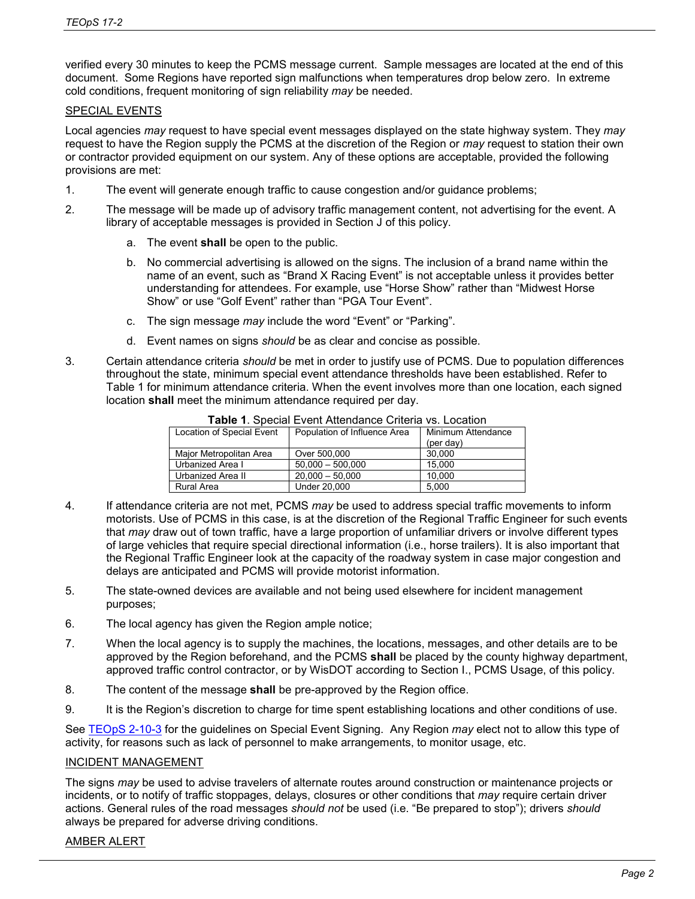verified every 30 minutes to keep the PCMS message current. Sample messages are located at the end of this document. Some Regions have reported sign malfunctions when temperatures drop below zero. In extreme cold conditions, frequent monitoring of sign reliability *may* be needed.

### SPECIAL EVENTS

Local agencies *may* request to have special event messages displayed on the state highway system. They *may* request to have the Region supply the PCMS at the discretion of the Region or *may* request to station their own or contractor provided equipment on our system. Any of these options are acceptable, provided the following provisions are met:

- 1. The event will generate enough traffic to cause congestion and/or guidance problems;
- 2. The message will be made up of advisory traffic management content, not advertising for the event. A library of acceptable messages is provided in Section J of this policy.
	- a. The event **shall** be open to the public.
	- b. No commercial advertising is allowed on the signs. The inclusion of a brand name within the name of an event, such as "Brand X Racing Event" is not acceptable unless it provides better understanding for attendees. For example, use "Horse Show" rather than "Midwest Horse Show" or use "Golf Event" rather than "PGA Tour Event".
	- c. The sign message *may* include the word "Event" or "Parking".
	- d. Event names on signs *should* be as clear and concise as possible.
- 3. Certain attendance criteria *should* be met in order to justify use of PCMS. Due to population differences throughout the state, minimum special event attendance thresholds have been established. Refer to Table 1 for minimum attendance criteria. When the event involves more than one location, each signed location **shall** meet the minimum attendance required per day.

| Location of Special Event | Population of Influence Area | Minimum Attendance |
|---------------------------|------------------------------|--------------------|
|                           |                              | $(\text{per day})$ |
| Maior Metropolitan Area   | Over 500,000                 | 30.000             |
| Urbanized Area I          | $50.000 - 500.000$           | 15.000             |
| Urbanized Area II         | $20.000 - 50.000$            | 10.000             |
| Rural Area                | Under 20,000                 | 5.000              |
|                           |                              |                    |

#### **Table 1**. Special Event Attendance Criteria vs. Location

- 4. If attendance criteria are not met, PCMS *may* be used to address special traffic movements to inform motorists. Use of PCMS in this case, is at the discretion of the Regional Traffic Engineer for such events that *may* draw out of town traffic, have a large proportion of unfamiliar drivers or involve different types of large vehicles that require special directional information (i.e., horse trailers). It is also important that the Regional Traffic Engineer look at the capacity of the roadway system in case major congestion and delays are anticipated and PCMS will provide motorist information.
- 5. The state-owned devices are available and not being used elsewhere for incident management purposes;
- 6. The local agency has given the Region ample notice;
- 7. When the local agency is to supply the machines, the locations, messages, and other details are to be approved by the Region beforehand, and the PCMS **shall** be placed by the county highway department, approved traffic control contractor, or by WisDOT according to Section I., PCMS Usage, of this policy.
- 8. The content of the message **shall** be pre-approved by the Region office.
- 9. It is the Region's discretion to charge for time spent establishing locations and other conditions of use.

See [TEOpS](http://wisconsindot.gov/dtsdManuals/traffic-ops/manuals-and-standards/teops/02-10.pdf) 2-10-3 for the guidelines on Special Event Signing. Any Region *may* elect not to allow this type of activity, for reasons such as lack of personnel to make arrangements, to monitor usage, etc.

# INCIDENT MANAGEMENT

The signs *may* be used to advise travelers of alternate routes around construction or maintenance projects or incidents, or to notify of traffic stoppages, delays, closures or other conditions that *may* require certain driver actions. General rules of the road messages *should not* be used (i.e. "Be prepared to stop"); drivers *should* always be prepared for adverse driving conditions.

# AMBER ALERT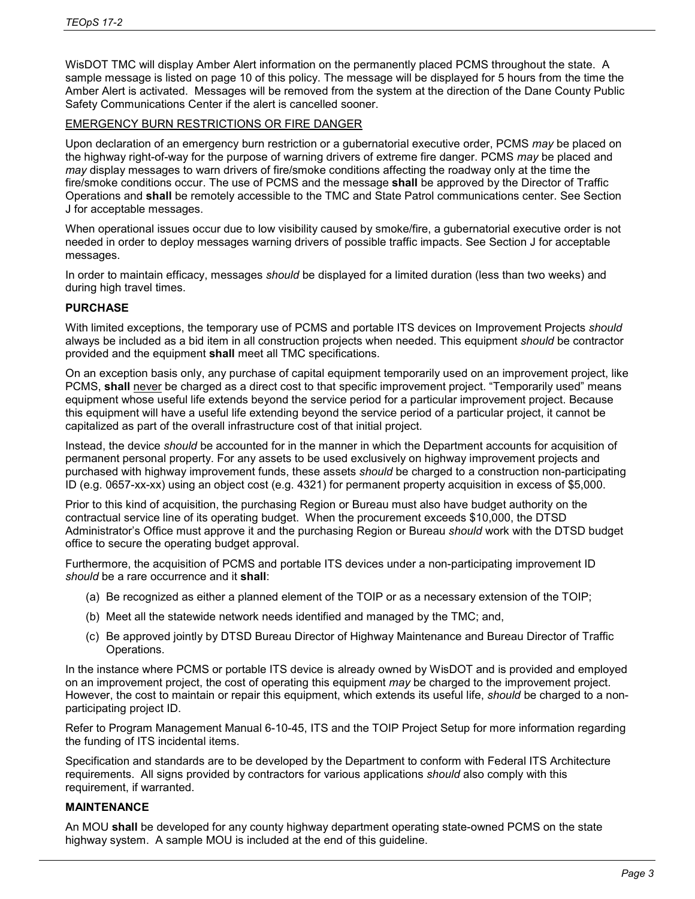WisDOT TMC will display Amber Alert information on the permanently placed PCMS throughout the state. A sample message is listed on page 10 of this policy. The message will be displayed for 5 hours from the time the Amber Alert is activated. Messages will be removed from the system at the direction of the Dane County Public Safety Communications Center if the alert is cancelled sooner.

# EMERGENCY BURN RESTRICTIONS OR FIRE DANGER

Upon declaration of an emergency burn restriction or a gubernatorial executive order, PCMS *may* be placed on the highway right-of-way for the purpose of warning drivers of extreme fire danger. PCMS *may* be placed and *may* display messages to warn drivers of fire/smoke conditions affecting the roadway only at the time the fire/smoke conditions occur. The use of PCMS and the message **shall** be approved by the Director of Traffic Operations and **shall** be remotely accessible to the TMC and State Patrol communications center. See Section J for acceptable messages.

When operational issues occur due to low visibility caused by smoke/fire, a gubernatorial executive order is not needed in order to deploy messages warning drivers of possible traffic impacts. See Section J for acceptable messages.

In order to maintain efficacy, messages *should* be displayed for a limited duration (less than two weeks) and during high travel times.

# **PURCHASE**

With limited exceptions, the temporary use of PCMS and portable ITS devices on Improvement Projects *should* always be included as a bid item in all construction projects when needed. This equipment *should* be contractor provided and the equipment **shall** meet all TMC specifications.

On an exception basis only, any purchase of capital equipment temporarily used on an improvement project, like PCMS, **shall** never be charged as a direct cost to that specific improvement project. "Temporarily used" means equipment whose useful life extends beyond the service period for a particular improvement project. Because this equipment will have a useful life extending beyond the service period of a particular project, it cannot be capitalized as part of the overall infrastructure cost of that initial project.

Instead, the device *should* be accounted for in the manner in which the Department accounts for acquisition of permanent personal property. For any assets to be used exclusively on highway improvement projects and purchased with highway improvement funds, these assets *should* be charged to a construction non-participating ID (e.g. 0657-xx-xx) using an object cost (e.g. 4321) for permanent property acquisition in excess of \$5,000.

Prior to this kind of acquisition, the purchasing Region or Bureau must also have budget authority on the contractual service line of its operating budget. When the procurement exceeds \$10,000, the DTSD Administrator's Office must approve it and the purchasing Region or Bureau *should* work with the DTSD budget office to secure the operating budget approval.

Furthermore, the acquisition of PCMS and portable ITS devices under a non-participating improvement ID *should* be a rare occurrence and it **shall**:

- (a) Be recognized as either a planned element of the TOIP or as a necessary extension of the TOIP;
- (b) Meet all the statewide network needs identified and managed by the TMC; and,
- (c) Be approved jointly by DTSD Bureau Director of Highway Maintenance and Bureau Director of Traffic Operations.

In the instance where PCMS or portable ITS device is already owned by WisDOT and is provided and employed on an improvement project, the cost of operating this equipment *may* be charged to the improvement project. However, the cost to maintain or repair this equipment, which extends its useful life, *should* be charged to a nonparticipating project ID.

Refer to Program Management Manual 6-10-45, ITS and the TOIP Project Setup for more information regarding the funding of ITS incidental items.

Specification and standards are to be developed by the Department to conform with Federal ITS Architecture requirements. All signs provided by contractors for various applications *should* also comply with this requirement, if warranted.

### **MAINTENANCE**

An MOU **shall** be developed for any county highway department operating state-owned PCMS on the state highway system. A sample MOU is included at the end of this guideline.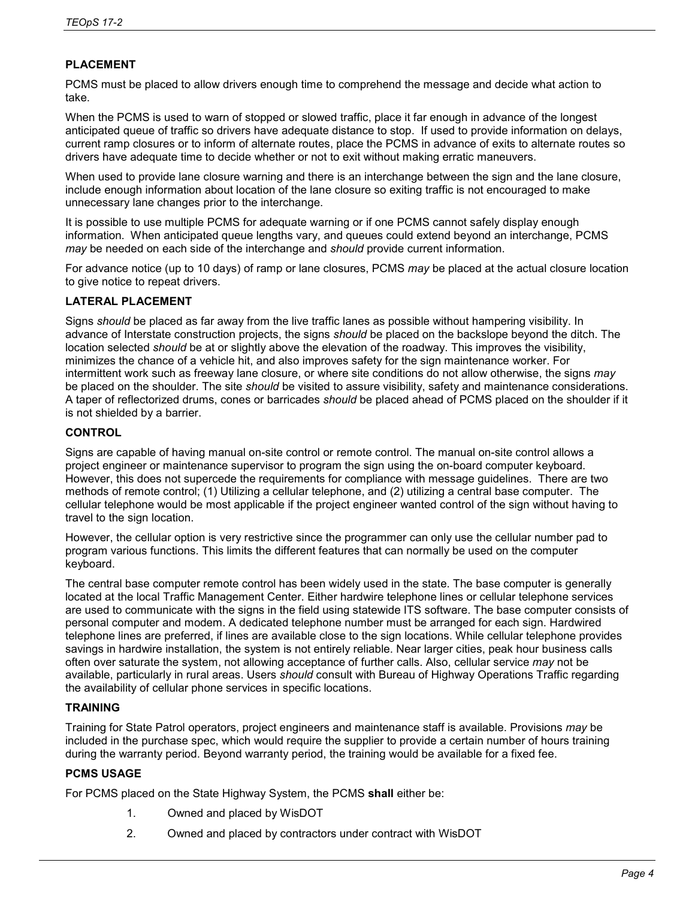# **PLACEMENT**

PCMS must be placed to allow drivers enough time to comprehend the message and decide what action to take.

When the PCMS is used to warn of stopped or slowed traffic, place it far enough in advance of the longest anticipated queue of traffic so drivers have adequate distance to stop. If used to provide information on delays, current ramp closures or to inform of alternate routes, place the PCMS in advance of exits to alternate routes so drivers have adequate time to decide whether or not to exit without making erratic maneuvers.

When used to provide lane closure warning and there is an interchange between the sign and the lane closure, include enough information about location of the lane closure so exiting traffic is not encouraged to make unnecessary lane changes prior to the interchange.

It is possible to use multiple PCMS for adequate warning or if one PCMS cannot safely display enough information. When anticipated queue lengths vary, and queues could extend beyond an interchange, PCMS *may* be needed on each side of the interchange and *should* provide current information.

For advance notice (up to 10 days) of ramp or lane closures, PCMS *may* be placed at the actual closure location to give notice to repeat drivers.

# **LATERAL PLACEMENT**

Signs *should* be placed as far away from the live traffic lanes as possible without hampering visibility. In advance of Interstate construction projects, the signs *should* be placed on the backslope beyond the ditch. The location selected *should* be at or slightly above the elevation of the roadway. This improves the visibility, minimizes the chance of a vehicle hit, and also improves safety for the sign maintenance worker. For intermittent work such as freeway lane closure, or where site conditions do not allow otherwise, the signs *may* be placed on the shoulder. The site *should* be visited to assure visibility, safety and maintenance considerations. A taper of reflectorized drums, cones or barricades *should* be placed ahead of PCMS placed on the shoulder if it is not shielded by a barrier.

### **CONTROL**

Signs are capable of having manual on-site control or remote control. The manual on-site control allows a project engineer or maintenance supervisor to program the sign using the on-board computer keyboard. However, this does not supercede the requirements for compliance with message guidelines. There are two methods of remote control; (1) Utilizing a cellular telephone, and (2) utilizing a central base computer. The cellular telephone would be most applicable if the project engineer wanted control of the sign without having to travel to the sign location.

However, the cellular option is very restrictive since the programmer can only use the cellular number pad to program various functions. This limits the different features that can normally be used on the computer keyboard.

The central base computer remote control has been widely used in the state. The base computer is generally located at the local Traffic Management Center. Either hardwire telephone lines or cellular telephone services are used to communicate with the signs in the field using statewide ITS software. The base computer consists of personal computer and modem. A dedicated telephone number must be arranged for each sign. Hardwired telephone lines are preferred, if lines are available close to the sign locations. While cellular telephone provides savings in hardwire installation, the system is not entirely reliable. Near larger cities, peak hour business calls often over saturate the system, not allowing acceptance of further calls. Also, cellular service *may* not be available, particularly in rural areas. Users *should* consult with Bureau of Highway Operations Traffic regarding the availability of cellular phone services in specific locations.

# **TRAINING**

Training for State Patrol operators, project engineers and maintenance staff is available. Provisions *may* be included in the purchase spec, which would require the supplier to provide a certain number of hours training during the warranty period. Beyond warranty period, the training would be available for a fixed fee.

# **PCMS USAGE**

For PCMS placed on the State Highway System, the PCMS **shall** either be:

- 1. Owned and placed by WisDOT
- 2. Owned and placed by contractors under contract with WisDOT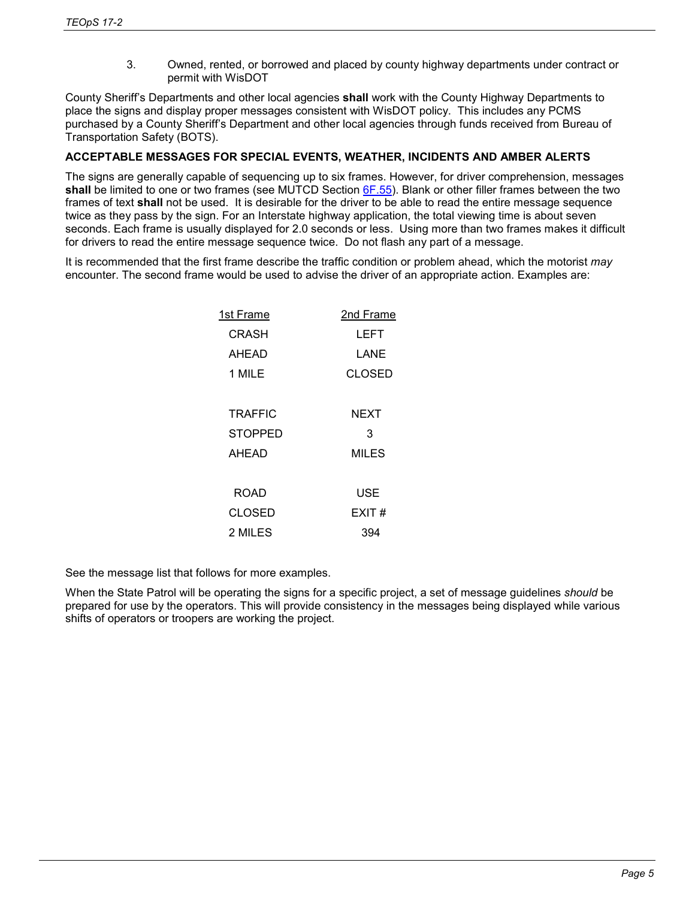3. Owned, rented, or borrowed and placed by county highway departments under contract or permit with WisDOT

County Sheriff's Departments and other local agencies **shall** work with the County Highway Departments to place the signs and display proper messages consistent with WisDOT policy. This includes any PCMS purchased by a County Sheriff's Department and other local agencies through funds received from Bureau of Transportation Safety (BOTS).

# **ACCEPTABLE MESSAGES FOR SPECIAL EVENTS, WEATHER, INCIDENTS AND AMBER ALERTS**

The signs are generally capable of sequencing up to six frames. However, for driver comprehension, messages **shall** be limited to one or two frames (see MUTCD Section [6F.55\)](http://wisconsindot.gov/dtsdManuals/traffic-ops/manuals-and-standards/mutcd-ch06.pdf). Blank or other filler frames between the two frames of text **shall** not be used. It is desirable for the driver to be able to read the entire message sequence twice as they pass by the sign. For an Interstate highway application, the total viewing time is about seven seconds. Each frame is usually displayed for 2.0 seconds or less. Using more than two frames makes it difficult for drivers to read the entire message sequence twice. Do not flash any part of a message.

It is recommended that the first frame describe the traffic condition or problem ahead, which the motorist *may* encounter. The second frame would be used to advise the driver of an appropriate action. Examples are:

| 1st Frame      | 2nd Frame     |  |  |
|----------------|---------------|--|--|
| CRASH          | LEFT          |  |  |
| AHEAD          | LANE          |  |  |
| 1 MILE         | <b>CLOSED</b> |  |  |
|                |               |  |  |
| <b>TRAFFIC</b> | NEXT          |  |  |
| <b>STOPPED</b> | 3             |  |  |
| AHEAD          | MILES         |  |  |
|                |               |  |  |
| ROAD           | USE           |  |  |
| CLOSED         | EXIT#         |  |  |
| 2 MILES        | 394           |  |  |
|                |               |  |  |

See the message list that follows for more examples.

When the State Patrol will be operating the signs for a specific project, a set of message guidelines *should* be prepared for use by the operators. This will provide consistency in the messages being displayed while various shifts of operators or troopers are working the project.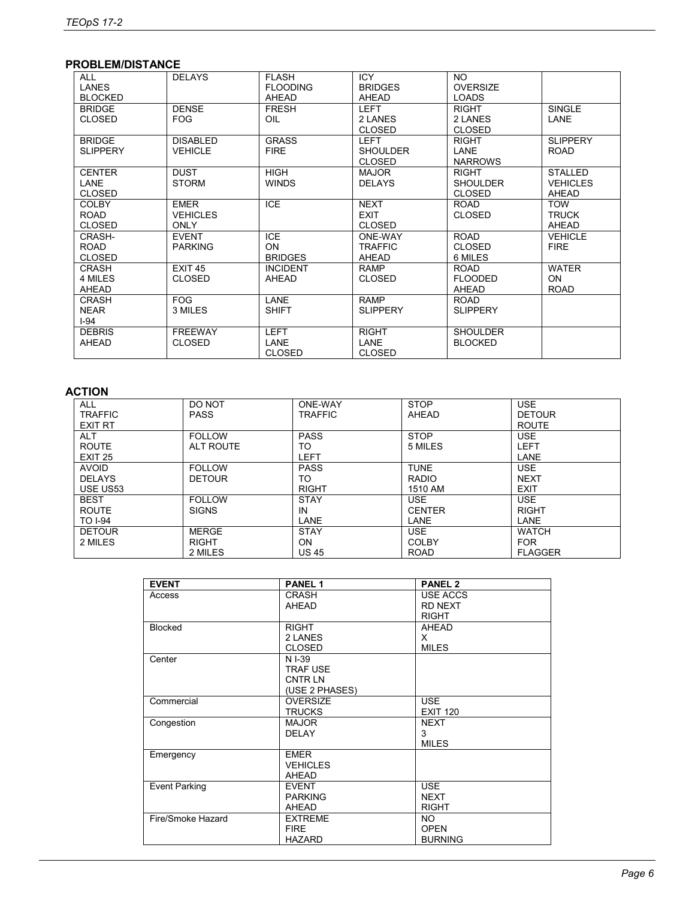# **PROBLEM/DISTANCE**

| <b>ALL</b><br><b>LANES</b><br><b>BLOCKED</b>  | <b>DELAYS</b>                          | <b>FLASH</b><br><b>FLOODING</b><br>AHEAD | <b>ICY</b><br><b>BRIDGES</b><br>AHEAD           | NO.<br><b>OVERSIZE</b><br><b>LOADS</b>           |                                                   |
|-----------------------------------------------|----------------------------------------|------------------------------------------|-------------------------------------------------|--------------------------------------------------|---------------------------------------------------|
| <b>BRIDGE</b><br><b>CLOSED</b>                | <b>DENSE</b><br><b>FOG</b>             | <b>FRESH</b><br>OIL                      | <b>LEFT</b><br>2 LANES<br><b>CLOSED</b>         | <b>RIGHT</b><br>2 LANES<br><b>CLOSED</b>         | <b>SINGLE</b><br>LANE                             |
| <b>BRIDGE</b><br><b>SLIPPERY</b>              | <b>DISABLED</b><br><b>VEHICLE</b>      | <b>GRASS</b><br><b>FIRE</b>              | <b>LEFT</b><br><b>SHOULDER</b><br><b>CLOSED</b> | <b>RIGHT</b><br>LANE<br><b>NARROWS</b>           | <b>SLIPPERY</b><br><b>ROAD</b>                    |
| <b>CENTER</b><br><b>LANE</b><br><b>CLOSED</b> | <b>DUST</b><br><b>STORM</b>            | <b>HIGH</b><br><b>WINDS</b>              | MAJOR<br><b>DELAYS</b>                          | <b>RIGHT</b><br><b>SHOULDER</b><br><b>CLOSED</b> | <b>STALLED</b><br><b>VEHICLES</b><br><b>AHEAD</b> |
| <b>COLBY</b><br><b>ROAD</b><br><b>CLOSED</b>  | <b>EMER</b><br><b>VEHICLES</b><br>ONLY | <b>ICE</b>                               | <b>NEXT</b><br><b>EXIT</b><br><b>CLOSED</b>     | <b>ROAD</b><br><b>CLOSED</b>                     | <b>TOW</b><br><b>TRUCK</b><br>AHEAD               |
| CRASH-<br><b>ROAD</b><br><b>CLOSED</b>        | <b>EVENT</b><br><b>PARKING</b>         | <b>ICE</b><br>ON.<br><b>BRIDGES</b>      | ONE-WAY<br><b>TRAFFIC</b><br>AHEAD              | <b>ROAD</b><br><b>CLOSED</b><br>6 MILES          | <b>VEHICLE</b><br><b>FIRE</b>                     |
| <b>CRASH</b><br>4 MILES<br>AHEAD              | EXIT <sub>45</sub><br><b>CLOSED</b>    | <b>INCIDENT</b><br>AHEAD                 | <b>RAMP</b><br><b>CLOSED</b>                    | <b>ROAD</b><br><b>FLOODED</b><br>AHEAD           | <b>WATER</b><br><b>ON</b><br><b>ROAD</b>          |
| <b>CRASH</b><br><b>NEAR</b><br>$I-94$         | <b>FOG</b><br>3 MILES                  | LANE<br><b>SHIFT</b>                     | <b>RAMP</b><br><b>SLIPPERY</b>                  | <b>ROAD</b><br><b>SLIPPERY</b>                   |                                                   |
| <b>DEBRIS</b><br>AHEAD                        | <b>FREEWAY</b><br><b>CLOSED</b>        | <b>LEFT</b><br>LANE<br><b>CLOSED</b>     | <b>RIGHT</b><br>LANE<br><b>CLOSED</b>           | <b>SHOULDER</b><br><b>BLOCKED</b>                |                                                   |

# **ACTION**

| <b>ALL</b><br><b>TRAFFIC</b><br><b>EXIT RT</b>   | DO NOT<br><b>PASS</b>                   | ONE-WAY<br><b>TRAFFIC</b>          | <b>STOP</b><br>AHEAD                      | <b>USE</b><br><b>DETOUR</b><br><b>ROUTE</b>  |
|--------------------------------------------------|-----------------------------------------|------------------------------------|-------------------------------------------|----------------------------------------------|
| <b>ALT</b><br><b>ROUTE</b><br>EXIT <sub>25</sub> | <b>FOLLOW</b><br>ALT ROUTE              | <b>PASS</b><br>TO<br><b>LEFT</b>   | <b>STOP</b><br>5 MILES                    | <b>USE</b><br><b>LEFT</b><br>LANE            |
| <b>AVOID</b><br><b>DELAYS</b><br>USE US53        | <b>FOLLOW</b><br><b>DETOUR</b>          | <b>PASS</b><br>TO<br><b>RIGHT</b>  | <b>TUNE</b><br><b>RADIO</b><br>1510 AM    | <b>USE</b><br><b>NEXT</b><br><b>EXIT</b>     |
| <b>BEST</b><br><b>ROUTE</b><br><b>TO I-94</b>    | <b>FOLLOW</b><br><b>SIGNS</b>           | <b>STAY</b><br>IN<br>LANE          | <b>USE</b><br><b>CENTER</b><br>LANE       | <b>USE</b><br><b>RIGHT</b><br>LANE           |
| <b>DETOUR</b><br>2 MILES                         | <b>MERGE</b><br><b>RIGHT</b><br>2 MILES | <b>STAY</b><br>ON.<br><b>US 45</b> | <b>USE</b><br><b>COLBY</b><br><b>ROAD</b> | <b>WATCH</b><br><b>FOR</b><br><b>FLAGGER</b> |

| <b>EVENT</b>         | <b>PANEL 1</b>  | <b>PANEL 2</b>  |
|----------------------|-----------------|-----------------|
| Access               | <b>CRASH</b>    | USE ACCS        |
|                      | AHEAD           | <b>RD NEXT</b>  |
|                      |                 | <b>RIGHT</b>    |
| <b>Blocked</b>       | <b>RIGHT</b>    | <b>AHEAD</b>    |
|                      | 2 LANES         | X.              |
|                      | <b>CLOSED</b>   | <b>MILES</b>    |
| Center               | N I-39          |                 |
|                      | <b>TRAF USE</b> |                 |
|                      | <b>CNTRLN</b>   |                 |
|                      | (USE 2 PHASES)  |                 |
| Commercial           | <b>OVERSIZE</b> | <b>USE</b>      |
|                      | <b>TRUCKS</b>   | <b>EXIT 120</b> |
| Congestion           | <b>MAJOR</b>    | <b>NEXT</b>     |
|                      | <b>DELAY</b>    | 3               |
|                      |                 | <b>MILES</b>    |
| Emergency            | <b>EMER</b>     |                 |
|                      | <b>VEHICLES</b> |                 |
|                      | AHEAD           |                 |
| <b>Event Parking</b> | <b>EVENT</b>    | <b>USE</b>      |
|                      | <b>PARKING</b>  | <b>NEXT</b>     |
|                      | AHEAD           | <b>RIGHT</b>    |
| Fire/Smoke Hazard    | <b>EXTREME</b>  | NO.             |
|                      | <b>FIRE</b>     | <b>OPEN</b>     |
|                      | <b>HAZARD</b>   | <b>BURNING</b>  |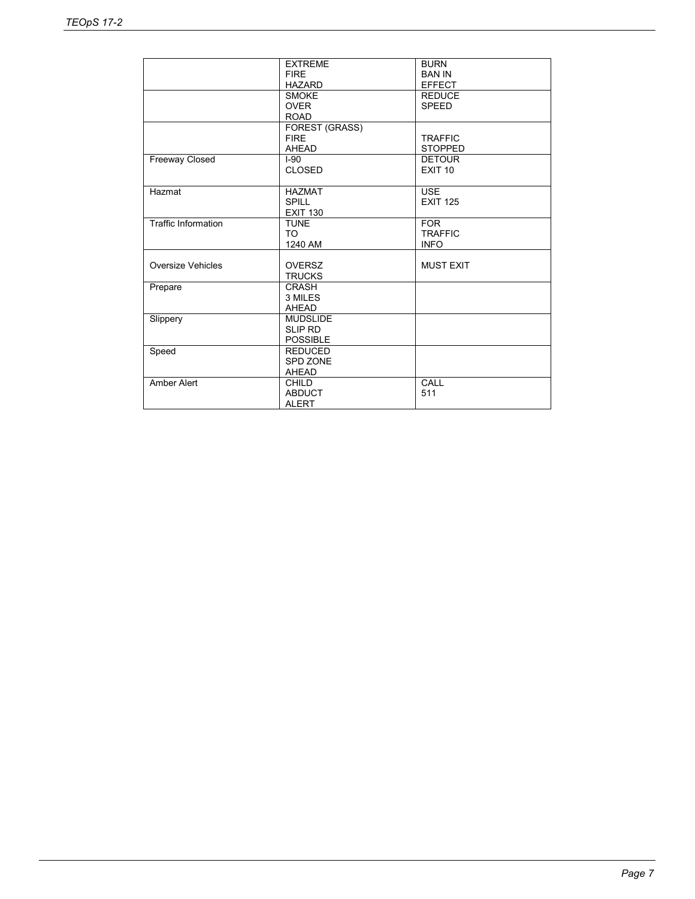|                            | <b>EXTREME</b><br><b>FIRE</b><br><b>HAZARD</b>       | <b>BURN</b><br><b>BAN IN</b><br><b>EFFECT</b> |
|----------------------------|------------------------------------------------------|-----------------------------------------------|
|                            | <b>SMOKE</b><br><b>OVER</b><br><b>ROAD</b>           | <b>REDUCE</b><br><b>SPEED</b>                 |
|                            | <b>FOREST (GRASS)</b><br><b>FIRE</b><br><b>AHEAD</b> | <b>TRAFFIC</b><br><b>STOPPED</b>              |
| <b>Freeway Closed</b>      | $I-90$<br><b>CLOSED</b>                              | <b>DETOUR</b><br><b>EXIT 10</b>               |
| Hazmat                     | <b>HAZMAT</b><br><b>SPILL</b><br><b>EXIT 130</b>     | <b>USE</b><br><b>EXIT 125</b>                 |
| <b>Traffic Information</b> | <b>TUNE</b><br>TO<br>1240 AM                         | <b>FOR</b><br><b>TRAFFIC</b><br><b>INFO</b>   |
| Oversize Vehicles          | <b>OVERSZ</b><br><b>TRUCKS</b>                       | <b>MUST EXIT</b>                              |
| Prepare                    | <b>CRASH</b><br>3 MILES<br><b>AHEAD</b>              |                                               |
| Slippery                   | <b>MUDSLIDE</b><br><b>SLIP RD</b><br><b>POSSIBLE</b> |                                               |
| Speed                      | <b>REDUCED</b><br>SPD ZONE<br><b>AHEAD</b>           |                                               |
| <b>Amber Alert</b>         | <b>CHILD</b><br><b>ABDUCT</b><br><b>ALERT</b>        | CALL<br>511                                   |